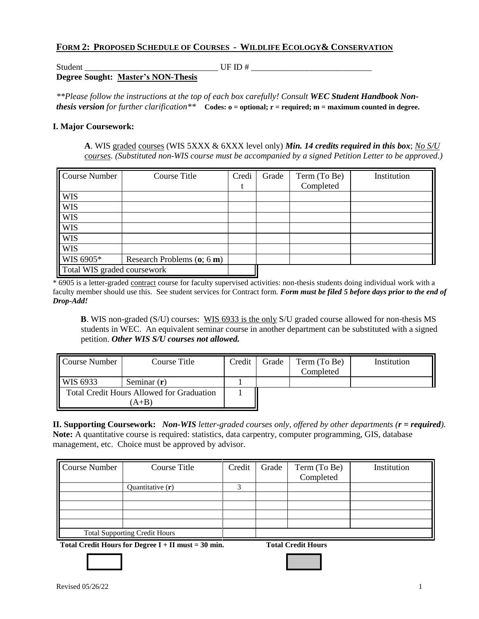## **FORM 2: PROPOSED SCHEDULE OF COURSES - WILDLIFE ECOLOGY& CONSERVATION**

Student LE ID #  $\angle$ 

**Degree Sought: Master's NON-Thesis**

*\*\*Please follow the instructions at the top of each box carefully! Consult WEC Student Handbook Nonthesis version for further clarification\*\** **Codes: o = optional; r = required; m = maximum counted in degree.**

## **I. Major Coursework:**

 **A**. WIS graded courses (WIS 5XXX & 6XXX level only) *Min. 14 credits required in this box*; *No S/U courses. (Substituted non-WIS course must be accompanied by a signed Petition Letter to be approved.)*

| Course Number               | <b>Course Title</b>          | Credi | Grade | Term (To Be) | Institution |
|-----------------------------|------------------------------|-------|-------|--------------|-------------|
|                             |                              |       |       | Completed    |             |
| <b>WIS</b>                  |                              |       |       |              |             |
| <b>WIS</b>                  |                              |       |       |              |             |
| <b>WIS</b>                  |                              |       |       |              |             |
| <b>WIS</b>                  |                              |       |       |              |             |
| <b>WIS</b>                  |                              |       |       |              |             |
| <b>WIS</b>                  |                              |       |       |              |             |
| WIS 6905*                   | Research Problems $(o; 6 m)$ |       |       |              |             |
| Total WIS graded coursework |                              |       |       |              |             |

\* 6905 is a letter-graded contract course for faculty supervised activities: non-thesis students doing individual work with a faculty member should use this. See student services for Contract form. *Form must be filed 5 before days prior to the end of Drop-Add!*

 **B**. WIS non-graded (S/U) courses:WIS 6933 is the only S/U graded course allowed for non-thesis MS students in WEC. An equivalent seminar course in another department can be substituted with a signed petition. *Other WIS S/U courses not allowed.*

| Course Number                                    | Course Title  | Credit | Grade | Term (To Be)<br>Completed | Institution |
|--------------------------------------------------|---------------|--------|-------|---------------------------|-------------|
| <b>WIS 6933</b>                                  | Seminar $(r)$ |        |       |                           |             |
| <b>Total Credit Hours Allowed for Graduation</b> |               |        |       |                           |             |
| $A+B$                                            |               |        |       |                           |             |

**II. Supporting Coursework:** *Non-WIS letter-graded courses only, offered by other departments (r = required).*  **Note:** A quantitative course is required: statistics, data carpentry, computer programming, GIS, database management, etc. Choice must be approved by advisor.

| <b>Course Number</b>                 | Course Title       | Credit | Grade | Term (To Be) | Institution |
|--------------------------------------|--------------------|--------|-------|--------------|-------------|
|                                      |                    |        |       | Completed    |             |
|                                      | Quantitative $(r)$ |        |       |              |             |
|                                      |                    |        |       |              |             |
|                                      |                    |        |       |              |             |
|                                      |                    |        |       |              |             |
|                                      |                    |        |       |              |             |
| <b>Total Supporting Credit Hours</b> |                    |        |       |              |             |

**Total Credit Hours for Degree I + II must = 30 min. Total Credit Hours**